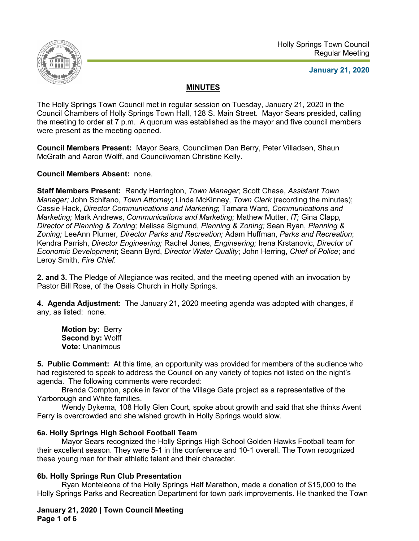

**January 21, 2020**

# **MINUTES**

The Holly Springs Town Council met in regular session on Tuesday, January 21, 2020 in the Council Chambers of Holly Springs Town Hall, 128 S. Main Street. Mayor Sears presided, calling the meeting to order at 7 p.m. A quorum was established as the mayor and five council members were present as the meeting opened.

**Council Members Present:** Mayor Sears, Councilmen Dan Berry, Peter Villadsen, Shaun McGrath and Aaron Wolff, and Councilwoman Christine Kelly.

**Council Members Absent:** none.

**Staff Members Present:** Randy Harrington, *Town Manager*; Scott Chase, *Assistant Town Manager;* John Schifano, *Town Attorney*; Linda McKinney, *Town Clerk* (recording the minutes); Cassie Hack, *Director Communications and Marketing*; Tamara Ward, *Communications and Marketing;* Mark Andrews, *Communications and Marketing;* Mathew Mutter, *IT;* Gina Clapp*, Director of Planning & Zoning;* Melissa Sigmund, *Planning & Zoning;* Sean Ryan, *Planning & Zoning;* LeeAnn Plumer*, Director Parks and Recreation;* Adam Huffman, *Parks and Recreation*; Kendra Parrish, *Director Engineering;* Rachel Jones, *Engineering;* Irena Krstanovic, *Director of Economic Development*; Seann Byrd, *Director Water Quality*; John Herring, *Chief of Police*; and Leroy Smith, *Fire Chief.*

**2. and 3.** The Pledge of Allegiance was recited, and the meeting opened with an invocation by Pastor Bill Rose, of the Oasis Church in Holly Springs.

**4. Agenda Adjustment:** The January 21, 2020 meeting agenda was adopted with changes, if any, as listed: none.

**Motion by:** Berry **Second by:** Wolff **Vote:** Unanimous

**5. Public Comment:** At this time, an opportunity was provided for members of the audience who had registered to speak to address the Council on any variety of topics not listed on the night's agenda. The following comments were recorded:

Brenda Compton, spoke in favor of the Village Gate project as a representative of the Yarborough and White families.

Wendy Dykema, 108 Holly Glen Court, spoke about growth and said that she thinks Avent Ferry is overcrowded and she wished growth in Holly Springs would slow.

# **6a. Holly Springs High School Football Team**

Mayor Sears recognized the Holly Springs High School Golden Hawks Football team for their excellent season. They were 5-1 in the conference and 10-1 overall. The Town recognized these young men for their athletic talent and their character.

# **6b. Holly Springs Run Club Presentation**

Ryan Monteleone of the Holly Springs Half Marathon, made a donation of \$15,000 to the Holly Springs Parks and Recreation Department for town park improvements. He thanked the Town

**January 21, 2020 | Town Council Meeting Page 1 of 6**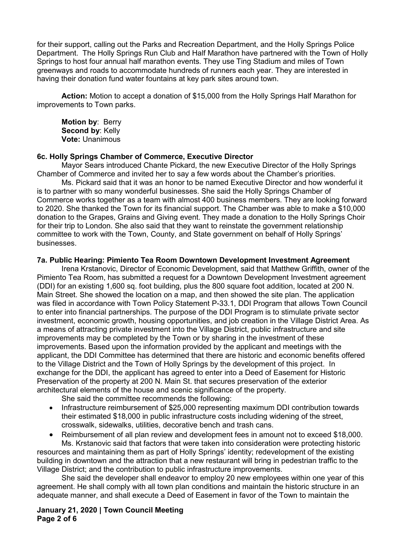for their support, calling out the Parks and Recreation Department, and the Holly Springs Police Department. The Holly Springs Run Club and Half Marathon have partnered with the Town of Holly Springs to host four annual half marathon events. They use Ting Stadium and miles of Town greenways and roads to accommodate hundreds of runners each year. They are interested in having their donation fund water fountains at key park sites around town.

**Action:** Motion to accept a donation of \$15,000 from the Holly Springs Half Marathon for improvements to Town parks.

**Motion by**: Berry **Second by**: Kelly **Vote:** Unanimous

#### **6c. Holly Springs Chamber of Commerce, Executive Director**

Mayor Sears introduced Chante Pickard, the new Executive Director of the Holly Springs Chamber of Commerce and invited her to say a few words about the Chamber's priorities.

Ms. Pickard said that it was an honor to be named Executive Director and how wonderful it is to partner with so many wonderful businesses. She said the Holly Springs Chamber of Commerce works together as a team with almost 400 business members. They are looking forward to 2020. She thanked the Town for its financial support. The Chamber was able to make a \$10,000 donation to the Grapes, Grains and Giving event. They made a donation to the Holly Springs Choir for their trip to London. She also said that they want to reinstate the government relationship committee to work with the Town, County, and State government on behalf of Holly Springs' businesses.

#### **7a. Public Hearing: Pimiento Tea Room Downtown Development Investment Agreement**

Irena Krstanovic, Director of Economic Development, said that Matthew Griffith, owner of the Pimiento Tea Room, has submitted a request for a Downtown Development Investment agreement (DDI) for an existing 1,600 sq. foot building, plus the 800 square foot addition, located at 200 N. Main Street. She showed the location on a map, and then showed the site plan. The application was filed in accordance with Town Policy Statement P-33.1, DDI Program that allows Town Council to enter into financial partnerships. The purpose of the DDI Program is to stimulate private sector investment, economic growth, housing opportunities, and job creation in the Village District Area. As a means of attracting private investment into the Village District, public infrastructure and site improvements may be completed by the Town or by sharing in the investment of these improvements. Based upon the information provided by the applicant and meetings with the applicant, the DDI Committee has determined that there are historic and economic benefits offered to the Village District and the Town of Holly Springs by the development of this project. In exchange for the DDI, the applicant has agreed to enter into a Deed of Easement for Historic Preservation of the property at 200 N. Main St. that secures preservation of the exterior architectural elements of the house and scenic significance of the property.

She said the committee recommends the following:

- Infrastructure reimbursement of \$25,000 representing maximum DDI contribution towards their estimated \$18,000 in public infrastructure costs including widening of the street, crosswalk, sidewalks, utilities, decorative bench and trash cans.
- Reimbursement of all plan review and development fees in amount not to exceed \$18,000. Ms. Krstanovic said that factors that were taken into consideration were protecting historic

resources and maintaining them as part of Holly Springs' identity; redevelopment of the existing building in downtown and the attraction that a new restaurant will bring in pedestrian traffic to the Village District; and the contribution to public infrastructure improvements.

She said the developer shall endeavor to employ 20 new employees within one year of this agreement. He shall comply with all town plan conditions and maintain the historic structure in an adequate manner, and shall execute a Deed of Easement in favor of the Town to maintain the

**January 21, 2020 | Town Council Meeting Page 2 of 6**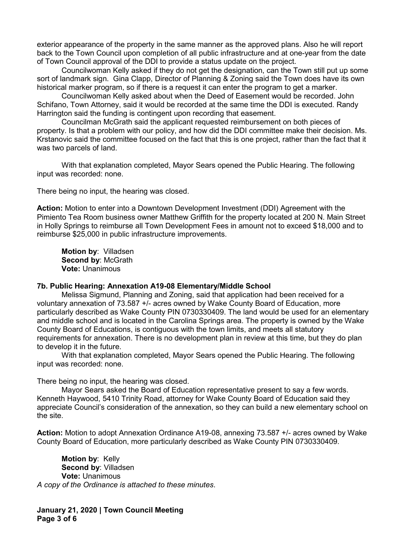exterior appearance of the property in the same manner as the approved plans. Also he will report back to the Town Council upon completion of all public infrastructure and at one-year from the date of Town Council approval of the DDI to provide a status update on the project.

Councilwoman Kelly asked if they do not get the designation, can the Town still put up some sort of landmark sign. Gina Clapp, Director of Planning & Zoning said the Town does have its own historical marker program, so if there is a request it can enter the program to get a marker.

Councilwoman Kelly asked about when the Deed of Easement would be recorded. John Schifano, Town Attorney, said it would be recorded at the same time the DDI is executed. Randy Harrington said the funding is contingent upon recording that easement.

Councilman McGrath said the applicant requested reimbursement on both pieces of property. Is that a problem with our policy, and how did the DDI committee make their decision. Ms. Krstanovic said the committee focused on the fact that this is one project, rather than the fact that it was two parcels of land.

With that explanation completed, Mayor Sears opened the Public Hearing. The following input was recorded: none.

There being no input, the hearing was closed.

**Action:** Motion to enter into a Downtown Development Investment (DDI) Agreement with the Pimiento Tea Room business owner Matthew Griffith for the property located at 200 N. Main Street in Holly Springs to reimburse all Town Development Fees in amount not to exceed \$18,000 and to reimburse \$25,000 in public infrastructure improvements.

**Motion by**: Villadsen **Second by**: McGrath **Vote:** Unanimous

#### **7b. Public Hearing: Annexation A19-08 Elementary/Middle School**

Melissa Sigmund, Planning and Zoning, said that application had been received for a voluntary annexation of 73.587 +/- acres owned by Wake County Board of Education, more particularly described as Wake County PIN 0730330409. The land would be used for an elementary and middle school and is located in the Carolina Springs area. The property is owned by the Wake County Board of Educations, is contiguous with the town limits, and meets all statutory requirements for annexation. There is no development plan in review at this time, but they do plan to develop it in the future.

With that explanation completed, Mayor Sears opened the Public Hearing. The following input was recorded: none.

There being no input, the hearing was closed.

Mayor Sears asked the Board of Education representative present to say a few words. Kenneth Haywood, 5410 Trinity Road, attorney for Wake County Board of Education said they appreciate Council's consideration of the annexation, so they can build a new elementary school on the site.

**Action:** Motion to adopt Annexation Ordinance A19-08, annexing 73.587 +/- acres owned by Wake County Board of Education, more particularly described as Wake County PIN 0730330409.

**Motion by**: Kelly **Second by**: Villadsen **Vote:** Unanimous *A copy of the Ordinance is attached to these minutes*.

**January 21, 2020 | Town Council Meeting Page 3 of 6**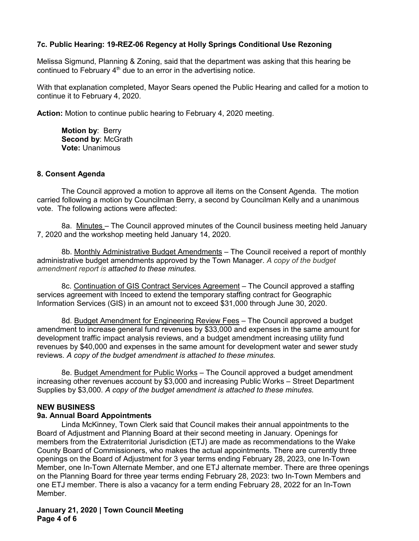## **7c. Public Hearing: 19-REZ-06 Regency at Holly Springs Conditional Use Rezoning**

Melissa Sigmund, Planning & Zoning, said that the department was asking that this hearing be continued to February  $4<sup>th</sup>$  due to an error in the advertising notice.

With that explanation completed, Mayor Sears opened the Public Hearing and called for a motion to continue it to February 4, 2020.

**Action:** Motion to continue public hearing to February 4, 2020 meeting.

**Motion by**: Berry **Second by**: McGrath **Vote:** Unanimous

#### **8. Consent Agenda**

The Council approved a motion to approve all items on the Consent Agenda. The motion carried following a motion by Councilman Berry, a second by Councilman Kelly and a unanimous vote. The following actions were affected:

8a. Minutes – The Council approved minutes of the Council business meeting held January 7, 2020 and the workshop meeting held January 14, 2020.

8b. Monthly Administrative Budget Amendments - The Council received a report of monthly administrative budget amendments approved by the Town Manager. *A copy of the budget amendment report is attached to these minutes.* 

8c. Continuation of GIS Contract Services Agreement – The Council approved a staffing services agreement with Inceed to extend the temporary staffing contract for Geographic Information Services (GIS) in an amount not to exceed \$31,000 through June 30, 2020.

8d. Budget Amendment for Engineering Review Fees – The Council approved a budget amendment to increase general fund revenues by \$33,000 and expenses in the same amount for development traffic impact analysis reviews, and a budget amendment increasing utility fund revenues by \$40,000 and expenses in the same amount for development water and sewer study reviews. *A copy of the budget amendment is attached to these minutes.*

8e. Budget Amendment for Public Works – The Council approved a budget amendment increasing other revenues account by \$3,000 and increasing Public Works – Street Department Supplies by \$3,000. *A copy of the budget amendment is attached to these minutes.*

## **NEW BUSINESS**

## **9a. Annual Board Appointments**

Linda McKinney, Town Clerk said that Council makes their annual appointments to the Board of Adjustment and Planning Board at their second meeting in January. Openings for members from the Extraterritorial Jurisdiction (ETJ) are made as recommendations to the Wake County Board of Commissioners, who makes the actual appointments. There are currently three openings on the Board of Adjustment for 3 year terms ending February 28, 2023, one In-Town Member, one In-Town Alternate Member, and one ETJ alternate member. There are three openings on the Planning Board for three year terms ending February 28, 2023: two In-Town Members and one ETJ member. There is also a vacancy for a term ending February 28, 2022 for an In-Town Member.

**January 21, 2020 | Town Council Meeting Page 4 of 6**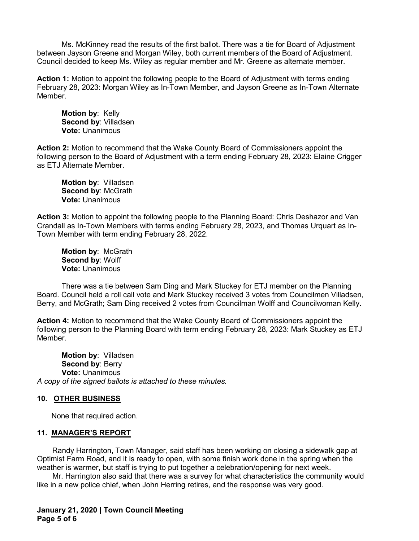Ms. McKinney read the results of the first ballot. There was a tie for Board of Adjustment between Jayson Greene and Morgan Wiley, both current members of the Board of Adjustment. Council decided to keep Ms. Wiley as regular member and Mr. Greene as alternate member.

**Action 1:** Motion to appoint the following people to the Board of Adjustment with terms ending February 28, 2023: Morgan Wiley as In-Town Member, and Jayson Greene as In-Town Alternate Member.

**Motion by**: Kelly **Second by**: Villadsen **Vote:** Unanimous

**Action 2:** Motion to recommend that the Wake County Board of Commissioners appoint the following person to the Board of Adjustment with a term ending February 28, 2023: Elaine Crigger as ETJ Alternate Member.

**Motion by**: Villadsen **Second by**: McGrath **Vote:** Unanimous

**Action 3:** Motion to appoint the following people to the Planning Board: Chris Deshazor and Van Crandall as In-Town Members with terms ending February 28, 2023, and Thomas Urquart as In-Town Member with term ending February 28, 2022.

**Motion by**: McGrath **Second by**: Wolff **Vote:** Unanimous

There was a tie between Sam Ding and Mark Stuckey for ETJ member on the Planning Board. Council held a roll call vote and Mark Stuckey received 3 votes from Councilmen Villadsen, Berry, and McGrath; Sam Ding received 2 votes from Councilman Wolff and Councilwoman Kelly.

**Action 4:** Motion to recommend that the Wake County Board of Commissioners appoint the following person to the Planning Board with term ending February 28, 2023: Mark Stuckey as ETJ Member.

**Motion by**: Villadsen **Second by**: Berry **Vote:** Unanimous *A copy of the signed ballots is attached to these minutes.*

## **10. OTHER BUSINESS**

None that required action.

#### **11. MANAGER'S REPORT**

Randy Harrington, Town Manager, said staff has been working on closing a sidewalk gap at Optimist Farm Road, and it is ready to open, with some finish work done in the spring when the weather is warmer, but staff is trying to put together a celebration/opening for next week.

Mr. Harrington also said that there was a survey for what characteristics the community would like in a new police chief, when John Herring retires, and the response was very good.

**January 21, 2020 | Town Council Meeting Page 5 of 6**